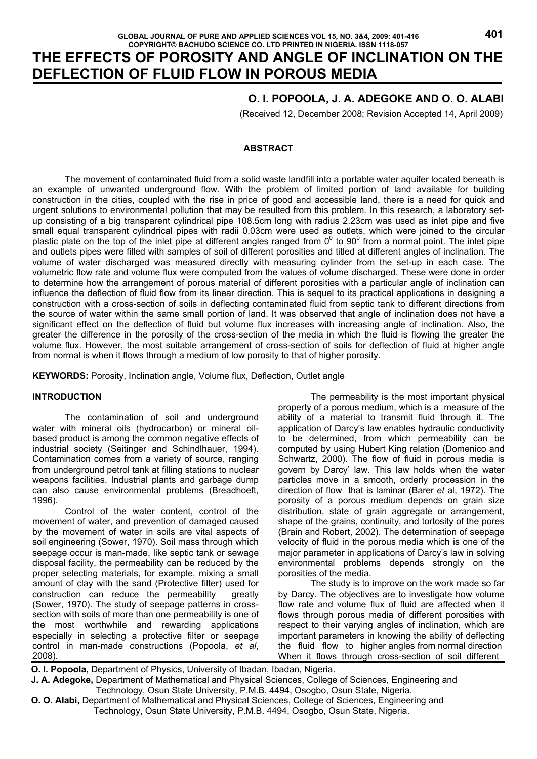# **THE EFFECTS OF POROSITY AND ANGLE OF INCLINATION ON THE DEFLECTION OF FLUID FLOW IN POROUS MEDIA**

# **O. I. POPOOLA, J. A. ADEGOKE AND O. O. ALABI**

(Received 12, December 2008; Revision Accepted 14, April 2009)

### **ABSTRACT**

 The movement of contaminated fluid from a solid waste landfill into a portable water aquifer located beneath is an example of unwanted underground flow. With the problem of limited portion of land available for building construction in the cities, coupled with the rise in price of good and accessible land, there is a need for quick and urgent solutions to environmental pollution that may be resulted from this problem. In this research, a laboratory setup consisting of a big transparent cylindrical pipe 108.5cm long with radius 2.23cm was used as inlet pipe and five small equal transparent cylindrical pipes with radii 0.03cm were used as outlets, which were joined to the circular plastic plate on the top of the inlet pipe at different angles ranged from  $0^0$  to  $90^0$  from a normal point. The inlet pipe and outlets pipes were filled with samples of soil of different porosities and titled at different angles of inclination. The volume of water discharged was measured directly with measuring cylinder from the set-up in each case. The volumetric flow rate and volume flux were computed from the values of volume discharged. These were done in order to determine how the arrangement of porous material of different porosities with a particular angle of inclination can influence the deflection of fluid flow from its linear direction. This is sequel to its practical applications in designing a construction with a cross-section of soils in deflecting contaminated fluid from septic tank to different directions from the source of water within the same small portion of land. It was observed that angle of inclination does not have a significant effect on the deflection of fluid but volume flux increases with increasing angle of inclination. Also, the greater the difference in the porosity of the cross-section of the media in which the fluid is flowing the greater the volume flux. However, the most suitable arrangement of cross-section of soils for deflection of fluid at higher angle from normal is when it flows through a medium of low porosity to that of higher porosity.

**KEYWORDS:** Porosity, Inclination angle, Volume flux, Deflection, Outlet angle

# **INTRODUCTION**

The contamination of soil and underground water with mineral oils (hydrocarbon) or mineral oilbased product is among the common negative effects of industrial society (Seitinger and Schindlhauer, 1994). Contamination comes from a variety of source, ranging from underground petrol tank at filling stations to nuclear weapons facilities. Industrial plants and garbage dump can also cause environmental problems (Breadhoeft, 1996).

Control of the water content, control of the movement of water, and prevention of damaged caused by the movement of water in soils are vital aspects of soil engineering (Sower, 1970). Soil mass through which seepage occur is man-made, like septic tank or sewage disposal facility, the permeability can be reduced by the proper selecting materials, for example, mixing a small amount of clay with the sand (Protective filter) used for construction can reduce the permeability greatly (Sower, 1970). The study of seepage patterns in crosssection with soils of more than one permeability is one of the most worthwhile and rewarding applications especially in selecting a protective filter or seepage control in man-made constructions (Popoola, *et al*, 2008).

 The permeability is the most important physical property of a porous medium, which is a measure of the ability of a material to transmit fluid through it. The application of Darcy's law enables hydraulic conductivity to be determined, from which permeability can be computed by using Hubert King relation (Domenico and Schwartz, 2000). The flow of fluid in porous media is govern by Darcy' law. This law holds when the water particles move in a smooth, orderly procession in the direction of flow that is laminar (Barer *et* al, 1972). The porosity of a porous medium depends on grain size distribution, state of grain aggregate or arrangement, shape of the grains, continuity, and tortosity of the pores (Brain and Robert, 2002). The determination of seepage velocity of fluid in the porous media which is one of the major parameter in applications of Darcy's law in solving environmental problems depends strongly on the porosities of the media.

 The study is to improve on the work made so far by Darcy. The objectives are to investigate how volume flow rate and volume flux of fluid are affected when it flows through porous media of different porosities with respect to their varying angles of inclination, which are important parameters in knowing the ability of deflecting the fluid flow to higher angles from normal direction When it flows through cross-section of soil different

 **O. I. Popoola,** Department of Physics, University of Ibadan, Ibadan, Nigeria.

 **J. A. Adegoke,** Department of Mathematical and Physical Sciences, College of Sciences, Engineering and Technology, Osun State University, P.M.B. 4494, Osogbo, Osun State, Nigeria.

 **O. O. Alabi,** Department of Mathematical and Physical Sciences, College of Sciences, Engineering and Technology, Osun State University, P.M.B. 4494, Osogbo, Osun State, Nigeria.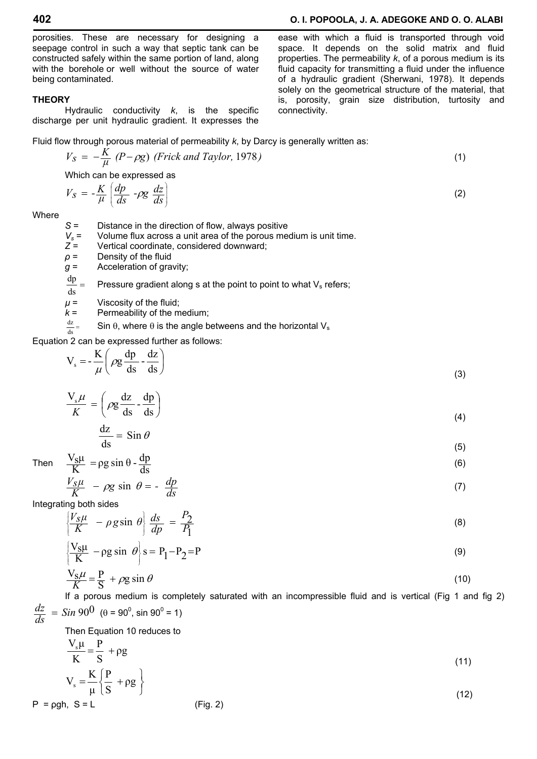porosities. These are necessary for designing a seepage control in such a way that septic tank can be constructed safely within the same portion of land, along with the borehole or well without the source of water being contaminated.

#### **THEORY**

 Hydraulic conductivity *k*, is the specific discharge per unit hydraulic gradient. It expresses the

Fluid flow through porous material of permeability *k*, by Darcy is generally written as:

$$
V_S = -\frac{K}{\mu} (P - \rho g) \text{ (Frick and Taylor, 1978)}
$$
\nWhich can be expressed as

connectivity.

$$
V_S = -\frac{K}{\mu} \left( \frac{dp}{ds} - \rho g \frac{dz}{ds} \right) \tag{2}
$$

**Where** 

*S* = Distance in the direction of flow, always positive

- $V_s$  = Volume flux across a unit area of the porous medium is unit time.<br> $Z =$  Vertical coordinate, considered downward:
- $Z =$  Vertical coordinate, considered downward;<br> $\rho =$  Density of the fluid
- *Density of the fluid*
- *g* = Acceleration of gravity;
- $\frac{dp}{ds} =$ Pressure gradient along s at the point to point to what  $V_s$  refers;
- $\mu$  = Viscosity of the fluid:
- $k =$  Permeability of the medium;
- $\frac{dz}{ds} =$ Sin  $\theta$ , where  $\theta$  is the angle betweens and the horizontal V<sub>s</sub>

Equation 2 can be expressed further as follows:

$$
V_s = -\frac{K}{\mu} \left( \rho g \frac{dp}{ds} - \frac{dz}{ds} \right)
$$
 (3)

$$
\frac{V_s \mu}{K} = \left(\rho g \frac{dz}{ds} - \frac{dp}{ds}\right)
$$
\n(4)

$$
\frac{dz}{ds} = \sin \theta \tag{5}
$$

Then 
$$
\frac{V_S \mu}{K} = \rho g \sin \theta - \frac{dp}{ds}
$$
 (6)

$$
\frac{V_S \mu}{K} - \rho g \sin \theta = -\frac{dp}{ds} \tag{7}
$$

Integrating both sides

$$
\left\{ \frac{V_S \mu}{K} - \rho g \sin \theta \right\} \frac{ds}{dp} = \frac{P_2}{P_1} \tag{8}
$$

$$
\left\{ \frac{V_S \mu}{K} - \rho g \sin \theta \right\} s = P_1 - P_2 = P \tag{9}
$$

$$
\frac{V_S \mu}{K} = \frac{P}{S} + \rho g \sin \theta \tag{10}
$$

 If a porous medium is completely saturated with an incompressible fluid and is vertical (Fig 1 and fig 2)  $\frac{dz}{ds}$  = *Sin* 90<sup>0</sup> (θ = 90<sup>0</sup>, sin 90<sup>0</sup> = 1)

Then Equation 10 reduces to

 $\overline{\mathfrak{c}}$ 

$$
\frac{V_s \mu}{K} = \frac{P}{S} + \rho g
$$
  
\n
$$
V_s = \frac{K}{\mu} \left\{ \frac{P}{S} + \rho g \right\}
$$
\n(11)

$$
P = \rho gh, S = L
$$
 (12)

ease with which a fluid is transported through void space. It depends on the solid matrix and fluid properties. The permeability *k*, of a porous medium is its fluid capacity for transmitting a fluid under the influence of a hydraulic gradient (Sherwani, 1978). It depends solely on the geometrical structure of the material, that is, porosity, grain size distribution, turtosity and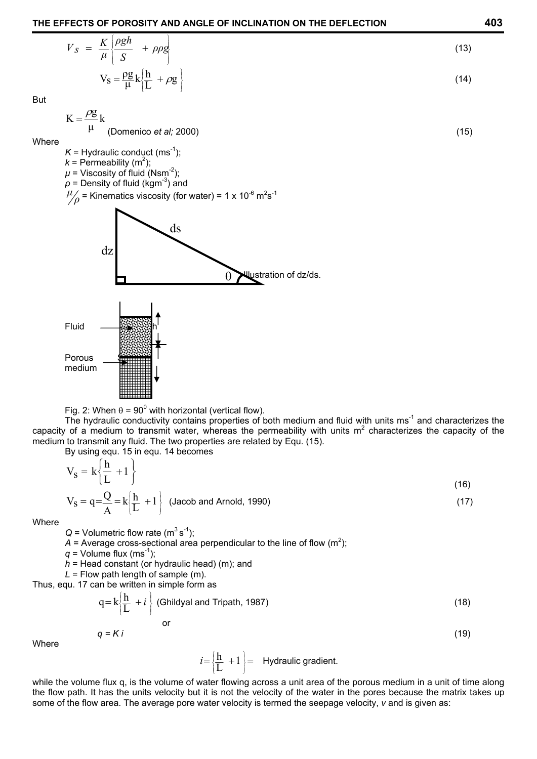$$
V_S = \frac{K}{\mu} \left\{ \frac{\rho g h}{S} + \rho \rho g \right\}
$$
  

$$
V_S = \frac{\rho g}{\mu} k \left\{ \frac{h}{L} + \rho g \right\}
$$
 (13)

But

$$
K = \frac{\rho g}{\mu} k
$$
 (Domenico *et al;* 2000) (15)

**Where** 

$$
K =
$$
 Hydroulic conduct (ms<sup>-1</sup>);  
 $k =$  Permeability (m<sup>2</sup>);

 $\mu$  = Viscosity of fluid (Nsm<sup>-2</sup>);  $\rho$  = Density of fluid (kgm<sup>-3</sup>) and

 $\mu_p$  = Kinematics viscosity (for water) = 1 x 10<sup>-6</sup> m<sup>2</sup>s<sup>-1</sup>





The hydraulic conductivity contains properties of both medium and fluid with units ms<sup>-1</sup> and characterizes the capacity of a medium to transmit water, whereas the permeability with units  $m^2$  characterizes the capacity of the medium to transmit any fluid. The two properties are related by Equ. (15).

By using equ. 15 in equ. 14 becomes

$$
V_{S} = k \left\{ \frac{h}{L} + 1 \right\}
$$
\n
$$
V_{S} = q = \frac{Q}{A} = k \left\{ \frac{h}{L} + 1 \right\}
$$
\n(Jacob and Arnold, 1990)\n(17)

**Where** 

 $Q =$  Volumetric flow rate (m<sup>3</sup> s<sup>-1</sup>);

 $A =$  Average cross-sectional area perpendicular to the line of flow (m<sup>2</sup>);

 $q =$  Volume flux (ms<sup>-1</sup>);

- *h* = Head constant (or hydraulic head) (m); and
- $L =$  Flow path length of sample (m).

Thus, equ. 17 can be written in simple form as

$$
q = k \left\{ \frac{h}{L} + i \right\}
$$
 (Childyal and Tripath, 1987) (18)

**Where** 

$$
i = \left\{\frac{h}{L} + 1\right\} =
$$
 Hydroaulic gradient.

 $q = K i$  (19)

while the volume flux q, is the volume of water flowing across a unit area of the porous medium in a unit of time along the flow path. It has the units velocity but it is not the velocity of the water in the pores because the matrix takes up some of the flow area. The average pore water velocity is termed the seepage velocity, *v* and is given as: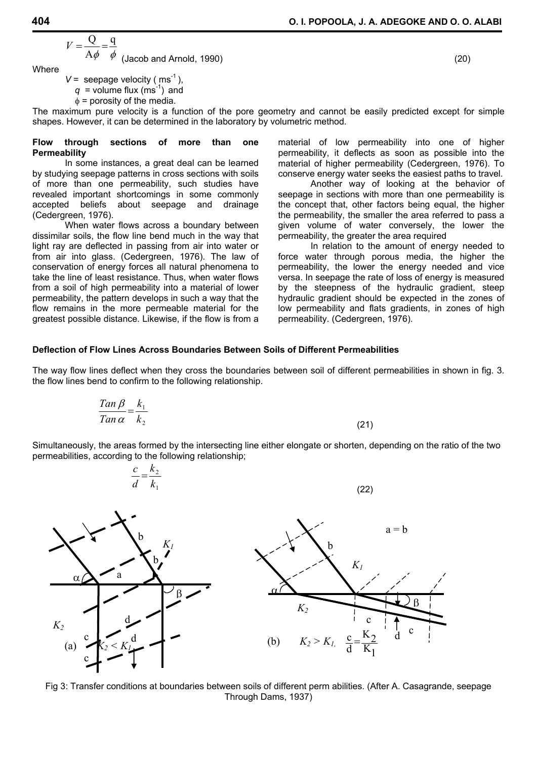$$
V = \frac{Q}{A\phi} = \frac{q}{\phi}
$$
 (Jacob and Arnold, 1990) (20)

Where

 $V =$  seepage velocity ( $ms^{-1}$ ),  $q$  = volume flux (ms<sup>-1</sup>) and  $\phi$  = porosity of the media.

The maximum pure velocity is a function of the pore geometry and cannot be easily predicted except for simple shapes. However, it can be determined in the laboratory by volumetric method.

#### **Flow through sections of more than one Permeability**

 In some instances, a great deal can be learned by studying seepage patterns in cross sections with soils of more than one permeability, such studies have revealed important shortcomings in some commonly accepted beliefs about seepage and drainage (Cedergreen, 1976).

 When water flows across a boundary between dissimilar soils, the flow line bend much in the way that light ray are deflected in passing from air into water or from air into glass. (Cedergreen, 1976). The law of conservation of energy forces all natural phenomena to take the line of least resistance. Thus, when water flows from a soil of high permeability into a material of lower permeability, the pattern develops in such a way that the flow remains in the more permeable material for the greatest possible distance. Likewise, if the flow is from a

*k*

material of low permeability into one of higher permeability, it deflects as soon as possible into the material of higher permeability (Cedergreen, 1976). To conserve energy water seeks the easiest paths to travel.

 Another way of looking at the behavior of seepage in sections with more than one permeability is the concept that, other factors being equal, the higher the permeability, the smaller the area referred to pass a given volume of water conversely, the lower the permeability, the greater the area required

 In relation to the amount of energy needed to force water through porous media, the higher the permeability, the lower the energy needed and vice versa. In seepage the rate of loss of energy is measured by the steepness of the hydraulic gradient, steep hydraulic gradient should be expected in the zones of low permeability and flats gradients, in zones of high permeability. (Cedergreen, 1976).

# **Deflection of Flow Lines Across Boundaries Between Soils of Different Permeabilities**

The way flow lines deflect when they cross the boundaries between soil of different permeabilities in shown in fig. 3. the flow lines bend to confirm to the following relationship.

$$
\frac{Tan\beta}{Tan\,\alpha} = \frac{k_1}{k_2} \tag{21}
$$

Simultaneously, the areas formed by the intersecting line either elongate or shorten, depending on the ratio of the two permeabilities, according to the following relationship;



Fig 3: Transfer conditions at boundaries between soils of different perm abilities. (After A. Casagrande, seepage Through Dams, 1937)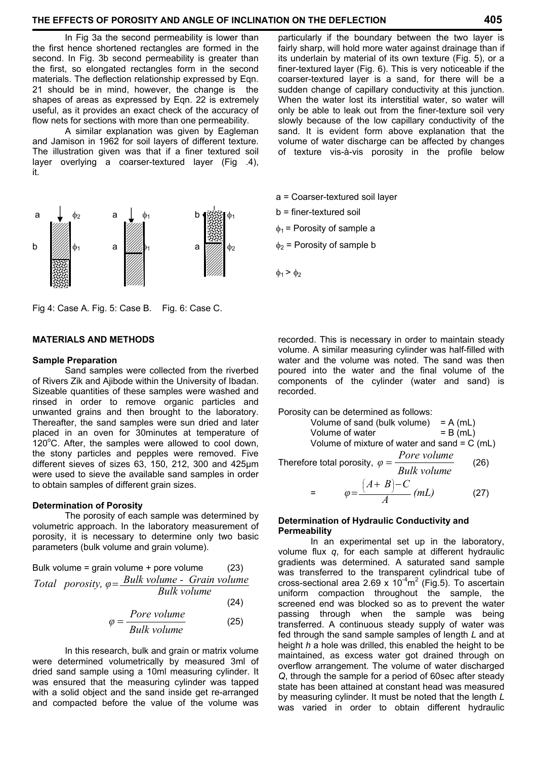### **THE EFFECTS OF POROSITY AND ANGLE OF INCLINATION ON THE DEFLECTION 405**

 In Fig 3a the second permeability is lower than the first hence shortened rectangles are formed in the second. In Fig. 3b second permeability is greater than the first, so elongated rectangles form in the second materials. The deflection relationship expressed by Eqn. 21 should be in mind, however, the change is the shapes of areas as expressed by Eqn. 22 is extremely useful, as it provides an exact check of the accuracy of flow nets for sections with more than one permeability.

 A similar explanation was given by Eagleman and Jamison in 1962 for soil layers of different texture. The illustration given was that if a finer textured soil layer overlying a coarser-textured layer (Fig .4), it.



Fig 4: Case A. Fig. 5: Case B. Fig. 6: Case C.

# **MATERIALS AND METHODS**

#### **Sample Preparation**

 Sand samples were collected from the riverbed of Rivers Zik and Ajibode within the University of Ibadan. Sizeable quantities of these samples were washed and rinsed in order to remove organic particles and unwanted grains and then brought to the laboratory. Thereafter, the sand samples were sun dried and later placed in an oven for 30minutes at temperature of  $120^{\circ}$ C. After, the samples were allowed to cool down, the stony particles and pepples were removed. Five different sieves of sizes 63, 150, 212, 300 and 425µm were used to sieve the available sand samples in order to obtain samples of different grain sizes.

#### **Determination of Porosity**

 The porosity of each sample was determined by volumetric approach. In the laboratory measurement of porosity, it is necessary to determine only two basic parameters (bulk volume and grain volume).

Bulk volume = grain volume + pore volume (23)  
Total porosity, 
$$
\varphi = \frac{Bulk \ volume - Grain \ volume}{Bulk \ volume}
$$
 (24)

$$
\varphi = \frac{Pore \, volume}{Bulk \, volume} \tag{25}
$$

 In this research, bulk and grain or matrix volume were determined volumetrically by measured 3ml of dried sand sample using a 10ml measuring cylinder. It was ensured that the measuring cylinder was tapped with a solid object and the sand inside get re-arranged and compacted before the value of the volume was

particularly if the boundary between the two layer is fairly sharp, will hold more water against drainage than if its underlain by material of its own texture (Fig. 5), or a finer-textured layer (Fig. 6). This is very noticeable if the coarser-textured layer is a sand, for there will be a sudden change of capillary conductivity at this junction. When the water lost its interstitial water, so water will only be able to leak out from the finer-texture soil very slowly because of the low capillary conductivity of the sand. It is evident form above explanation that the volume of water discharge can be affected by changes of texture vis-à-vis porosity in the profile below

- a = Coarser-textured soil layer
- b = finer-textured soil
- $\phi_1$  = Porosity of sample a
- $\phi_2$  = Porosity of sample b
- $\phi_1$  >  $\phi_2$

recorded. This is necessary in order to maintain steady volume. A similar measuring cylinder was half-filled with water and the volume was noted. The sand was then poured into the water and the final volume of the components of the cylinder (water and sand) is recorded.

Porosity can be determined as follows:

Volume of sand (bulk volume) = A (mL)  
\nVolume of water = B (mL)  
\nVolume of mixture of water and sand = C (mL)  
\nTherefore total porosity, 
$$
\varphi = \frac{Pore \, volume}{Bulk \, volume}
$$
 (26)

$$
= \qquad \varphi = \frac{\left(A+B\right)-C}{A} \left(mL\right) \tag{27}
$$

#### **Determination of Hydraulic Conductivity and Permeability**

 In an experimental set up in the laboratory, volume flux *q*, for each sample at different hydraulic gradients was determined. A saturated sand sample was transferred to the transparent cylindrical tube of cross-sectional area 2.69 x  $10^{-4}$ m<sup>2</sup> (Fig.5). To ascertain uniform compaction throughout the sample, the screened end was blocked so as to prevent the water passing through when the sample was being transferred. A continuous steady supply of water was fed through the sand sample samples of length *L* and at height *h* a hole was drilled, this enabled the height to be maintained, as excess water got drained through on overflow arrangement. The volume of water discharged *Q*, through the sample for a period of 60sec after steady state has been attained at constant head was measured by measuring cylinder. It must be noted that the length *L* was varied in order to obtain different hydraulic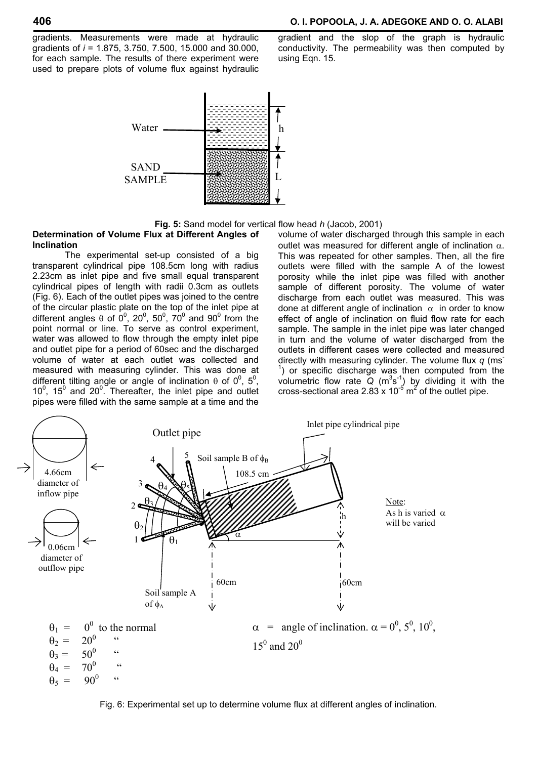gradients. Measurements were made at hydraulic gradients of *i* = 1.875, 3.750, 7.500, 15.000 and 30.000, for each sample. The results of there experiment were used to prepare plots of volume flux against hydraulic



gradient and the slop of the graph is hydraulic conductivity. The permeability was then computed by using Eqn. 15.



#### **Determination of Volume Flux at Different Angles of Inclination**

 The experimental set-up consisted of a big transparent cylindrical pipe 108.5cm long with radius 2.23cm as inlet pipe and five small equal transparent cylindrical pipes of length with radii 0.3cm as outlets (Fig. 6). Each of the outlet pipes was joined to the centre of the circular plastic plate on the top of the inlet pipe at different angles  $\theta$  of  $0^0$ ,  $20^0$ ,  $50^0$ ,  $70^0$  and  $90^0$  from the point normal or line. To serve as control experiment, water was allowed to flow through the empty inlet pipe and outlet pipe for a period of 60sec and the discharged volume of water at each outlet was collected and measured with measuring cylinder. This was done at different tilting angle or angle of inclination  $\theta$  of  $0^0$ ,  $5^0$ ,  $10^0$ ,  $15^0$  and  $20^0$ . Thereafter, the inlet pipe and outlet pipes were filled with the same sample at a time and the

volume of water discharged through this sample in each outlet was measured for different angle of inclination  $\alpha$ . This was repeated for other samples. Then, all the fire outlets were filled with the sample A of the lowest porosity while the inlet pipe was filled with another sample of different porosity. The volume of water discharge from each outlet was measured. This was done at different angle of inclination  $\alpha$  in order to know effect of angle of inclination on fluid flow rate for each sample. The sample in the inlet pipe was later changed in turn and the volume of water discharged from the outlets in different cases were collected and measured directly with measuring cylinder. The volume flux *q* (ms- $1)$  or specific discharge was then computed from the volumetric flow rate  $\overline{Q}$  (m<sup>3</sup>s<sup>-1</sup>) by dividing it with the cross-sectional area 2.83  $\times$  10<sup>-5</sup> m<sup>2</sup> of the outlet pipe.



Fig. 6: Experimental set up to determine volume flux at different angles of inclination.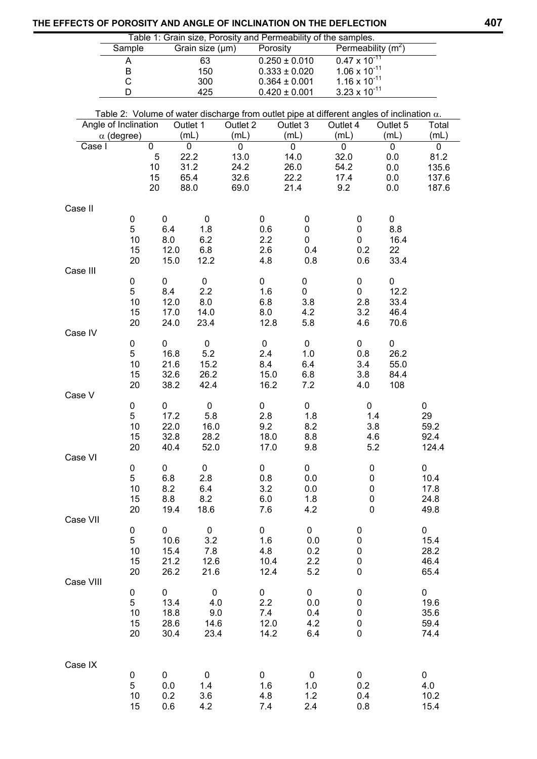| Table 1: Grain size, Porosity and Permeability of the samples. |                      |                   |                            |                     |           |                                        |                                                                                                   |                                                  |                      |                     |
|----------------------------------------------------------------|----------------------|-------------------|----------------------------|---------------------|-----------|----------------------------------------|---------------------------------------------------------------------------------------------------|--------------------------------------------------|----------------------|---------------------|
|                                                                |                      | Sample            |                            | Grain size (µm)     |           | Porosity                               |                                                                                                   |                                                  | Permeability $(m^2)$ |                     |
|                                                                | Α<br>B               |                   |                            | 63<br>150           |           | $0.250 \pm 0.010$<br>$0.333 \pm 0.020$ |                                                                                                   | $0.47 \times 10^{-11}$<br>$1.06 \times 10^{-11}$ |                      |                     |
|                                                                | С                    |                   |                            | 300                 |           |                                        | $0.364 \pm 0.001$                                                                                 | $1.16 \times 10^{-11}$                           |                      |                     |
|                                                                |                      | D                 |                            | 425                 |           |                                        | $0.420 \pm 0.001$                                                                                 | $3.23 \times 10^{-11}$                           |                      |                     |
|                                                                |                      |                   |                            |                     |           |                                        | Table 2: Volume of water discharge from outlet pipe at different angles of inclination $\alpha$ . |                                                  |                      |                     |
|                                                                | Angle of Inclination |                   |                            | Outlet 1            | Outlet 2  |                                        | Outlet 3                                                                                          | Outlet 4                                         | Outlet 5             | Total               |
|                                                                |                      | $\alpha$ (degree) |                            | (mL)                | (mL)      |                                        | (mL)                                                                                              | (mL)                                             | (mL)                 | (mL)                |
|                                                                | Case I               |                   | $\mathbf 0$<br>$\mathbf 5$ | 0<br>22.2           | 0<br>13.0 |                                        | 0<br>14.0                                                                                         | $\mathbf 0$<br>32.0                              | $\mathbf 0$<br>0.0   | $\mathbf 0$<br>81.2 |
|                                                                |                      |                   | 10                         | 31.2                | 24.2      |                                        | 26.0                                                                                              | 54.2                                             | 0.0                  | 135.6               |
|                                                                |                      |                   | 15                         | 65.4                | 32.6      |                                        | 22.2                                                                                              | 17.4                                             | 0.0                  | 137.6               |
|                                                                |                      |                   | 20                         | 88.0                | 69.0      |                                        | 21.4                                                                                              | 9.2                                              | 0.0                  | 187.6               |
|                                                                | Case II              |                   |                            |                     |           |                                        |                                                                                                   |                                                  |                      |                     |
|                                                                |                      | 0                 | 0                          | $\mathbf 0$         |           | 0                                      | $\pmb{0}$                                                                                         | 0                                                | $\pmb{0}$            |                     |
|                                                                |                      | 5                 | 6.4                        | 1.8                 |           | 0.6                                    | $\pmb{0}$                                                                                         | 0                                                | 8.8                  |                     |
|                                                                |                      | 10<br>15          | 8.0<br>12.0                | 6.2<br>6.8          |           | 2.2<br>2.6                             | $\pmb{0}$<br>0.4                                                                                  | 0<br>0.2                                         | 16.4<br>22           |                     |
|                                                                |                      | 20                | 15.0                       | 12.2                |           | 4.8                                    | 0.8                                                                                               | 0.6                                              | 33.4                 |                     |
|                                                                | Case III             |                   |                            |                     |           |                                        |                                                                                                   |                                                  |                      |                     |
|                                                                |                      | 0                 | 0                          | $\mathbf 0$         |           | 0                                      | 0                                                                                                 | 0                                                | 0<br>12.2            |                     |
|                                                                |                      | 5<br>10           | 8.4<br>12.0                | 2.2<br>8.0          |           | 1.6<br>6.8                             | 0<br>3.8                                                                                          | 0<br>2.8                                         | 33.4                 |                     |
|                                                                |                      | 15                | 17.0                       | 14.0                |           | 8.0                                    | 4.2                                                                                               | 3.2                                              | 46.4                 |                     |
|                                                                |                      | 20                | 24.0                       | 23.4                |           | 12.8                                   | 5.8                                                                                               | 4.6                                              | 70.6                 |                     |
|                                                                | Case IV              | $\pmb{0}$         | 0                          | $\pmb{0}$           |           | $\mathbf 0$                            | $\mathbf 0$                                                                                       | 0                                                | 0                    |                     |
|                                                                |                      | 5                 | 16.8                       | 5.2                 |           | 2.4                                    | 1.0                                                                                               | 0.8                                              | 26.2                 |                     |
|                                                                |                      | $10$              | 21.6                       | 15.2                |           | 8.4                                    | 6.4                                                                                               | 3.4                                              | 55.0                 |                     |
|                                                                |                      | 15                | 32.6                       | 26.2                |           | 15.0                                   | 6.8                                                                                               | 3.8                                              | 84.4                 |                     |
|                                                                | Case V               | 20                | 38.2                       | 42.4                |           | 16.2                                   | 7.2                                                                                               | 4.0                                              | 108                  |                     |
|                                                                |                      | 0                 | 0                          | $\pmb{0}$           |           | 0                                      | 0                                                                                                 |                                                  | 0                    | 0                   |
|                                                                |                      | 5                 | 17.2                       | 5.8                 |           | 2.8                                    | 1.8                                                                                               |                                                  | 1.4                  | 29                  |
|                                                                |                      | 10<br>15          | 22.0<br>32.8               | 16.0<br>28.2        |           | 9.2<br>18.0                            | 8.2<br>8.8                                                                                        |                                                  | 3.8<br>4.6           | 59.2<br>92.4        |
|                                                                |                      | 20                | 40.4                       | 52.0                |           | 17.0                                   | 9.8                                                                                               |                                                  | 5.2                  | 124.4               |
|                                                                | Case VI              |                   |                            |                     |           |                                        |                                                                                                   |                                                  |                      |                     |
|                                                                |                      | $\pmb{0}$<br>5    | 0<br>6.8                   | $\mathbf 0$<br>2.8  |           | 0<br>0.8                               | 0<br>0.0                                                                                          |                                                  | 0<br>0               | 0<br>10.4           |
|                                                                |                      | 10                | 8.2                        | 6.4                 |           | 3.2                                    | 0.0                                                                                               |                                                  | 0                    | 17.8                |
|                                                                |                      | 15                | 8.8                        | 8.2                 |           | 6.0                                    | 1.8                                                                                               |                                                  | 0                    | 24.8                |
|                                                                |                      | 20                | 19.4                       | 18.6                |           | 7.6                                    | 4.2                                                                                               |                                                  | 0                    | 49.8                |
|                                                                | Case VII             | 0                 | 0                          | $\mathbf 0$         |           | 0                                      | $\pmb{0}$                                                                                         | 0                                                |                      | 0                   |
|                                                                |                      | 5                 | 10.6                       | 3.2                 |           | 1.6                                    | 0.0                                                                                               | 0                                                |                      | 15.4                |
|                                                                |                      | 10                | 15.4                       | 7.8                 |           | 4.8                                    | 0.2                                                                                               | $\pmb{0}$                                        |                      | 28.2                |
|                                                                |                      | 15<br>20          | 21.2<br>26.2               | 12.6<br>21.6        |           | 10.4<br>12.4                           | 2.2<br>5.2                                                                                        | 0<br>0                                           |                      | 46.4<br>65.4        |
|                                                                | Case VIII            |                   |                            |                     |           |                                        |                                                                                                   |                                                  |                      |                     |
|                                                                |                      | $\pmb{0}$         | $\mathbf 0$                | $\mathsf{O}\xspace$ |           | 0                                      | $\pmb{0}$                                                                                         | 0                                                |                      | $\pmb{0}$           |
|                                                                |                      | 5                 | 13.4                       | 4.0                 |           | 2.2                                    | 0.0                                                                                               | $\pmb{0}$                                        |                      | 19.6                |
|                                                                |                      | 10<br>15          | 18.8<br>28.6               | 9.0<br>14.6         |           | 7.4<br>12.0                            | 0.4<br>4.2                                                                                        | $\pmb{0}$<br>0                                   |                      | 35.6<br>59.4        |
|                                                                |                      | 20                | 30.4                       | 23.4                |           | 14.2                                   | 6.4                                                                                               | 0                                                |                      | 74.4                |
|                                                                |                      |                   |                            |                     |           |                                        |                                                                                                   |                                                  |                      |                     |
|                                                                | Case IX              |                   |                            |                     |           |                                        |                                                                                                   |                                                  |                      |                     |
|                                                                |                      | 0                 | 0                          | 0                   |           | 0                                      | 0                                                                                                 | 0                                                |                      | 0                   |
|                                                                |                      | 5                 | 0.0                        | 1.4                 |           | 1.6                                    | 1.0                                                                                               | 0.2                                              |                      | 4.0                 |
|                                                                |                      | 10<br>15          | 0.2<br>0.6                 | 3.6<br>4.2          |           | 4.8<br>7.4                             | 1.2<br>2.4                                                                                        | 0.4<br>0.8                                       |                      | 10.2<br>15.4        |
|                                                                |                      |                   |                            |                     |           |                                        |                                                                                                   |                                                  |                      |                     |

# **THE EFFECTS OF POROSITY AND ANGLE OF INCLINATION ON THE DEFLECTION 407**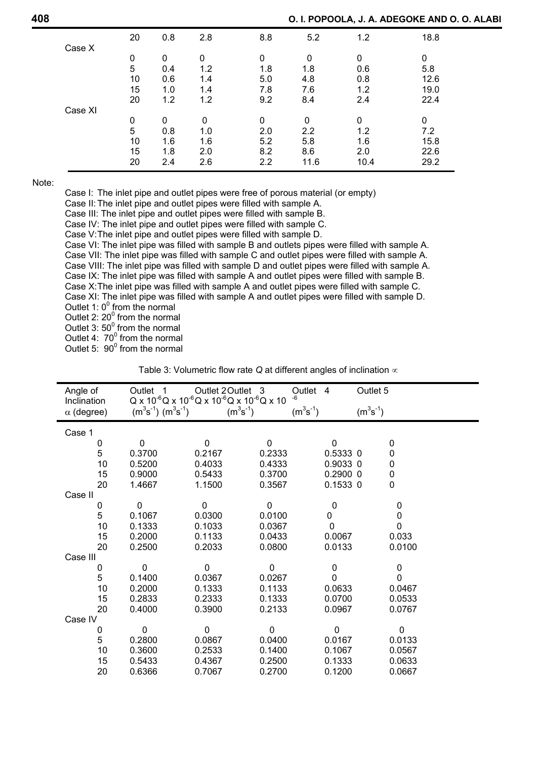|         | 20 | 0.8         | 2.8 | 8.8         | 5.2         | 1.2  | 18.8 |
|---------|----|-------------|-----|-------------|-------------|------|------|
| Case X  |    |             |     |             |             |      |      |
|         | 0  | 0           | 0   | $\Omega$    | $\mathbf 0$ | 0    | 0    |
|         | 5  | 0.4         | 1.2 | 1.8         | 1.8         | 0.6  | 5.8  |
|         | 10 | 0.6         | 1.4 | 5.0         | 4.8         | 0.8  | 12.6 |
|         | 15 | 1.0         | 1.4 | 7.8         | 7.6         | 1.2  | 19.0 |
|         | 20 | 1.2         | 1.2 | 9.2         | 8.4         | 2.4  | 22.4 |
| Case XI |    |             |     |             |             |      |      |
|         | 0  | $\mathbf 0$ | 0   | $\mathbf 0$ | 0           | 0    | 0    |
|         | 5  | 0.8         | 1.0 | 2.0         | 2.2         | 1.2  | 7.2  |
|         | 10 | 1.6         | 1.6 | 5.2         | 5.8         | 1.6  | 15.8 |
|         | 15 | 1.8         | 2.0 | 8.2         | 8.6         | 2.0  | 22.6 |
|         | 20 | 2.4         | 2.6 | 2.2         | 11.6        | 10.4 | 29.2 |

Note:

Case I: The inlet pipe and outlet pipes were free of porous material (or empty)

Case II: The inlet pipe and outlet pipes were filled with sample A.

Case III: The inlet pipe and outlet pipes were filled with sample B.

Case IV: The inlet pipe and outlet pipes were filled with sample C.

Case V: The inlet pipe and outlet pipes were filled with sample D.

 Case VI: The inlet pipe was filled with sample B and outlets pipes were filled with sample A. Case VII: The inlet pipe was filled with sample C and outlet pipes were filled with sample A. Case VIII: The inlet pipe was filled with sample D and outlet pipes were filled with sample A. Case IX: The inlet pipe was filled with sample A and outlet pipes were filled with sample B. Case X: The inlet pipe was filled with sample A and outlet pipes were filled with sample C. Case XI: The inlet pipe was filled with sample A and outlet pipes were filled with sample D. Outlet 1:  $0^{\circ}$  from the normal

Outlet 2:  $20^{\circ}$  from the normal

Outlet 3:  $50^{\circ}$  from the normal

Outlet 4:  $70^{\circ}$  from the normal

Outlet 5:  $90^{\circ}$  from the normal

| Angle of<br>Inclination | Outlet 1                        | Outlet 2 Outlet 3<br>$Q$ x 10 <sup>-6</sup> Q x 10 <sup>-6</sup> Q x 10 <sup>-6</sup> Q x 10 <sup>-6</sup> Q x 10 |               | Outlet 4<br>$-6$ | Outlet 5      |             |
|-------------------------|---------------------------------|-------------------------------------------------------------------------------------------------------------------|---------------|------------------|---------------|-------------|
| $\alpha$ (degree)       | $(m^{3}s^{-1})$ $(m^{3}s^{-1})$ |                                                                                                                   | $(m^3s^{-1})$ | $(m^3s^{-1})$    | $(m^3s^{-1})$ |             |
| Case 1                  |                                 |                                                                                                                   |               |                  |               |             |
| 0                       | $\mathbf 0$                     | $\pmb{0}$                                                                                                         | 0             | $\pmb{0}$        |               | $\mathbf 0$ |
| 5                       | 0.3700                          | 0.2167                                                                                                            | 0.2333        | 0.5333 0         |               | 0           |
| 10                      | 0.5200                          | 0.4033                                                                                                            | 0.4333        | 0.9033 0         |               | 0           |
| 15                      | 0.9000                          | 0.5433                                                                                                            | 0.3700        | $0.2900$ 0       |               | $\pmb{0}$   |
| 20                      | 1.4667                          | 1.1500                                                                                                            | 0.3567        | 0.1533 0         |               | $\mathbf 0$ |
| Case II                 |                                 |                                                                                                                   |               |                  |               |             |
| 0                       | 0                               | 0                                                                                                                 | 0             | $\mathbf 0$      |               | 0           |
| 5                       | 0.1067                          | 0.0300                                                                                                            | 0.0100        | 0                |               | 0           |
| 10                      | 0.1333                          | 0.1033                                                                                                            | 0.0367        | $\mathbf 0$      |               | 0           |
| 15                      | 0.2000                          | 0.1133                                                                                                            | 0.0433        | 0.0067           |               | 0.033       |
| 20                      | 0.2500                          | 0.2033                                                                                                            | 0.0800        | 0.0133           |               | 0.0100      |
| Case III                |                                 |                                                                                                                   |               |                  |               |             |
| 0                       | 0                               | 0                                                                                                                 | 0             | 0                |               | 0           |
| 5                       | 0.1400                          | 0.0367                                                                                                            | 0.0267        | 0                |               | 0           |
| 10                      | 0.2000                          | 0.1333                                                                                                            | 0.1133        | 0.0633           |               | 0.0467      |
| 15                      | 0.2833                          | 0.2333                                                                                                            | 0.1333        | 0.0700           |               | 0.0533      |
| 20                      | 0.4000                          | 0.3900                                                                                                            | 0.2133        | 0.0967           |               | 0.0767      |
| Case IV                 |                                 |                                                                                                                   |               |                  |               |             |
| 0                       | 0                               | $\mathbf 0$                                                                                                       | 0             | $\mathbf 0$      |               | 0           |
| 5                       | 0.2800                          | 0.0867                                                                                                            | 0.0400        | 0.0167           |               | 0.0133      |
| 10                      | 0.3600                          | 0.2533                                                                                                            | 0.1400        | 0.1067           |               | 0.0567      |
| 15                      | 0.5433                          | 0.4367                                                                                                            | 0.2500        | 0.1333           |               | 0.0633      |
| 20                      | 0.6366                          | 0.7067                                                                                                            | 0.2700        | 0.1200           |               | 0.0667      |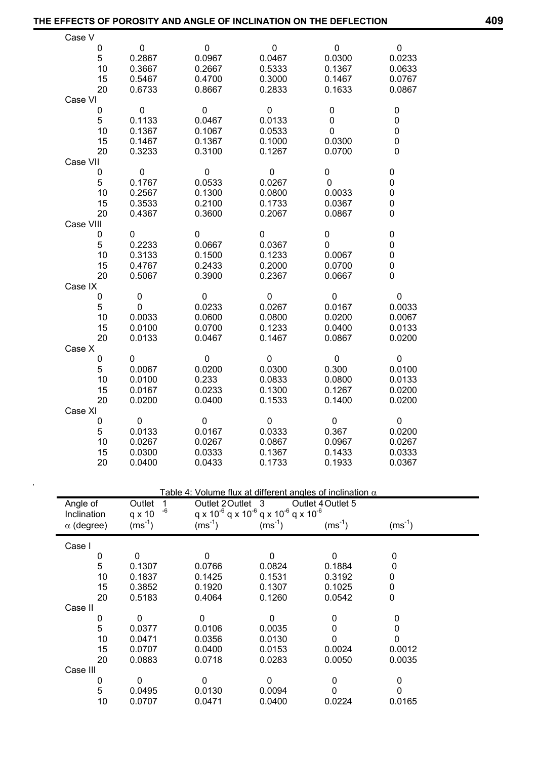| THE EFFECTS OF POROSITY AND ANGLE OF INCLINATION ON THE DEFLECTION |                     |                   |                                                              |                                                                  |             | 409 |
|--------------------------------------------------------------------|---------------------|-------------------|--------------------------------------------------------------|------------------------------------------------------------------|-------------|-----|
| Case V                                                             |                     |                   |                                                              |                                                                  |             |     |
| 0                                                                  | $\mathbf{0}$        | $\overline{0}$    | $\overline{0}$                                               | $\overline{0}$                                                   | $\mathbf 0$ |     |
| 5                                                                  | 0.2867              | 0.0967            | 0.0467                                                       | 0.0300                                                           | 0.0233      |     |
| 10                                                                 | 0.3667              | 0.2667            | 0.5333                                                       | 0.1367                                                           | 0.0633      |     |
| 15                                                                 | 0.5467              | 0.4700            | 0.3000                                                       | 0.1467                                                           | 0.0767      |     |
| 20                                                                 | 0.6733              | 0.8667            | 0.2833                                                       | 0.1633                                                           | 0.0867      |     |
| Case VI                                                            |                     |                   |                                                              |                                                                  |             |     |
| 0                                                                  | $\mathbf{0}$        | $\mathbf{0}$      | $\mathbf 0$                                                  | 0                                                                | 0           |     |
| 5                                                                  | 0.1133              | 0.0467            | 0.0133                                                       | 0                                                                | 0           |     |
| 10                                                                 | 0.1367              | 0.1067            | 0.0533                                                       | 0                                                                | 0           |     |
| 15                                                                 | 0.1467              | 0.1367            | 0.1000                                                       | 0.0300                                                           | 0           |     |
| 20                                                                 | 0.3233              | 0.3100            | 0.1267                                                       | 0.0700                                                           | 0           |     |
| Case VII                                                           |                     |                   |                                                              |                                                                  |             |     |
| $\mathbf 0$                                                        | $\mathbf 0$         | $\overline{0}$    | $\mathbf 0$                                                  | $\mathbf{0}$                                                     | $\pmb{0}$   |     |
| 5                                                                  | 0.1767              | 0.0533            | 0.0267                                                       | $\mathbf 0$                                                      | $\pmb{0}$   |     |
| 10                                                                 | 0.2567              | 0.1300            | 0.0800                                                       | 0.0033                                                           | $\pmb{0}$   |     |
| 15                                                                 | 0.3533              | 0.2100            | 0.1733                                                       | 0.0367                                                           | 0           |     |
| 20                                                                 | 0.4367              | 0.3600            | 0.2067                                                       | 0.0867                                                           | 0           |     |
| Case VIII                                                          |                     |                   |                                                              |                                                                  |             |     |
| 0                                                                  | 0                   | $\mathbf 0$       | 0                                                            | 0                                                                | 0           |     |
| 5                                                                  | 0.2233              | 0.0667            | 0.0367                                                       | $\mathbf{0}$                                                     | 0           |     |
| 10                                                                 | 0.3133              | 0.1500            | 0.1233                                                       | 0.0067                                                           | 0           |     |
| 15                                                                 | 0.4767              | 0.2433            | 0.2000                                                       | 0.0700                                                           | 0           |     |
| 20                                                                 | 0.5067              | 0.3900            | 0.2367                                                       | 0.0667                                                           | 0           |     |
| Case IX                                                            |                     |                   |                                                              |                                                                  |             |     |
| 0                                                                  | $\mathbf 0$         | $\overline{0}$    | $\mathbf{0}$                                                 | $\mathbf 0$                                                      | $\mathbf 0$ |     |
| 5                                                                  | $\mathbf{0}$        | 0.0233            | 0.0267                                                       | 0.0167                                                           | 0.0033      |     |
| 10                                                                 | 0.0033              | 0.0600            | 0.0800                                                       | 0.0200                                                           | 0.0067      |     |
| 15                                                                 | 0.0100              | 0.0700            | 0.1233                                                       | 0.0400                                                           | 0.0133      |     |
| 20                                                                 | 0.0133              | 0.0467            | 0.1467                                                       | 0.0867                                                           | 0.0200      |     |
| Case X                                                             |                     |                   |                                                              |                                                                  |             |     |
| 0                                                                  | 0                   | $\overline{0}$    | $\mathbf 0$                                                  | $\mathbf{0}$                                                     | $\mathbf 0$ |     |
| 5                                                                  | 0.0067              | 0.0200            | 0.0300                                                       | 0.300                                                            | 0.0100      |     |
| 10                                                                 | 0.0100              | 0.233             | 0.0833                                                       | 0.0800                                                           | 0.0133      |     |
| 15                                                                 | 0.0167              | 0.0233            | 0.1300                                                       | 0.1267                                                           | 0.0200      |     |
| 20                                                                 | 0.0200              | 0.0400            | 0.1533                                                       | 0.1400                                                           | 0.0200      |     |
| Case XI                                                            |                     |                   |                                                              |                                                                  |             |     |
| $\overline{0}$                                                     | $\overline{0}$      | $\overline{0}$    | $\mathbf{0}$                                                 | $\overline{0}$                                                   | 0           |     |
| 5                                                                  | 0.0133              | 0.0167            | 0.0333                                                       | 0.367                                                            | 0.0200      |     |
| 10                                                                 | 0.0267              | 0.0267            | 0.0867                                                       | 0.0967                                                           | 0.0267      |     |
| 15                                                                 | 0.0300              | 0.0333            | 0.1367                                                       | 0.1433                                                           | 0.0333      |     |
| 20                                                                 | 0.0400              | 0.0433            | 0.1733                                                       | 0.1933                                                           | 0.0367      |     |
|                                                                    |                     |                   |                                                              |                                                                  |             |     |
|                                                                    |                     |                   |                                                              |                                                                  |             |     |
|                                                                    |                     |                   |                                                              | Table 4: Volume flux at different angles of inclination $\alpha$ |             |     |
| Angle of                                                           | Outlet<br>1         | Outlet 2 Outlet 3 |                                                              | Outlet 4 Outlet 5                                                |             |     |
| Inclination                                                        | -6<br>$q \times 10$ |                   | $q \times 10^{-6}$ q x $10^{-6}$ q x $10^{-6}$ q x $10^{-6}$ |                                                                  |             |     |
| $\alpha$ (degree)                                                  | $(ms^{-1})$         | $(ms^{-1})$       | $(ms^{-1})$                                                  | $(ms^{-1})$                                                      | $(ms^{-1})$ |     |
|                                                                    |                     |                   |                                                              |                                                                  |             |     |
| Case I                                                             |                     |                   |                                                              |                                                                  |             |     |
| $\pmb{0}$                                                          | $\pmb{0}$           | $\pmb{0}$         | $\pmb{0}$                                                    | $\pmb{0}$                                                        | 0           |     |
| 5                                                                  | 0.1307              | 0.0766            | 0.0824                                                       | 0.1884                                                           | 0           |     |
| 10                                                                 | 0.1837              | 0.1425            | 0.1531                                                       | 0.3192                                                           | 0           |     |
| 15                                                                 | 0.3852              | 0.1920            | 0.1307                                                       | 0.1025                                                           | 0           |     |
| 20                                                                 | 0.5183              | 0.4064            | 0.1260                                                       | 0.0542                                                           | 0           |     |
| Case II                                                            |                     |                   |                                                              |                                                                  |             |     |
| 0                                                                  | 0                   | $\mathbf 0$       | $\pmb{0}$                                                    | $\boldsymbol{0}$                                                 | 0           |     |
| 5                                                                  | 0.0377              | 0.0106            | 0.0035                                                       | 0                                                                | $\pmb{0}$   |     |
| 10                                                                 | 0.0471              | 0.0356            | 0.0130                                                       | $\pmb{0}$                                                        | 0           |     |
| 15                                                                 | 0.0707              | 0.0400            | 0.0153                                                       | 0.0024                                                           | 0.0012      |     |
| 20                                                                 | 0.0883              | 0.0718            | 0.0283                                                       | 0.0050                                                           | 0.0035      |     |
| Case III                                                           |                     |                   |                                                              |                                                                  |             |     |
| 0                                                                  | $\mathbf 0$         | $\pmb{0}$         | $\mathbf 0$                                                  | $\pmb{0}$                                                        | $\pmb{0}$   |     |
| 5                                                                  | 0.0495              | 0.0130            | 0.0094                                                       | $\pmb{0}$                                                        | $\mathbf 0$ |     |
| 10                                                                 | 0.0707              | 0.0471            | 0.0400                                                       | 0.0224                                                           | 0.0165      |     |

,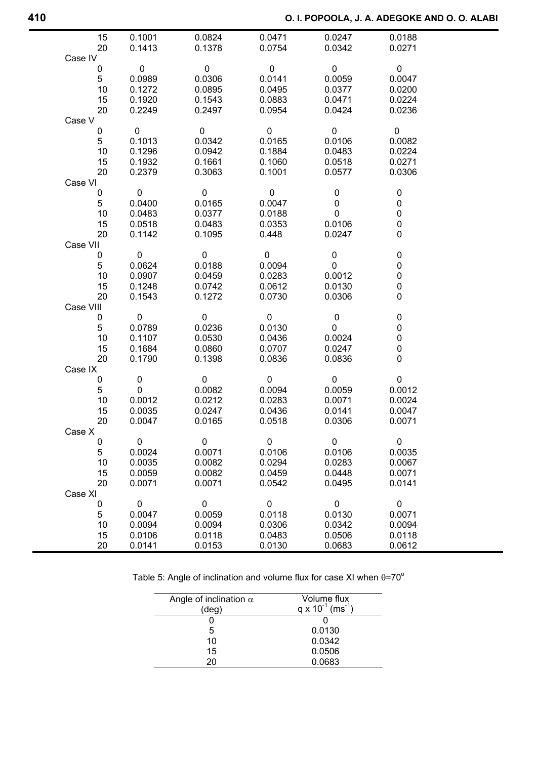| 15        | 0.1001      | 0.0824      | 0.0471      | 0.0247      | 0.0188      |  |
|-----------|-------------|-------------|-------------|-------------|-------------|--|
| 20        | 0.1413      | 0.1378      | 0.0754      | 0.0342      | 0.0271      |  |
| Case IV   |             |             |             |             |             |  |
| 0         | 0           | $\mathbf 0$ | $\mathbf 0$ | $\mathbf 0$ | $\mathbf 0$ |  |
| 5         | 0.0989      | 0.0306      | 0.0141      | 0.0059      | 0.0047      |  |
| 10        | 0.1272      | 0.0895      | 0.0495      | 0.0377      | 0.0200      |  |
| 15        | 0.1920      | 0.1543      | 0.0883      | 0.0471      | 0.0224      |  |
| 20        | 0.2249      | 0.2497      | 0.0954      | 0.0424      | 0.0236      |  |
| Case V    |             |             |             |             |             |  |
| 0         | $\mathbf 0$ | $\pmb{0}$   | $\pmb{0}$   | $\mathbf 0$ | $\mathbf 0$ |  |
| 5         | 0.1013      | 0.0342      | 0.0165      | 0.0106      | 0.0082      |  |
| 10        | 0.1296      | 0.0942      | 0.1884      | 0.0483      | 0.0224      |  |
| 15        | 0.1932      | 0.1661      | 0.1060      | 0.0518      | 0.0271      |  |
| 20        |             |             |             |             |             |  |
|           | 0.2379      | 0.3063      | 0.1001      | 0.0577      | 0.0306      |  |
| Case VI   |             |             |             |             |             |  |
| 0         | 0           | $\mathbf 0$ | 0           | $\mathbf 0$ | 0           |  |
| 5         | 0.0400      | 0.0165      | 0.0047      | 0           | 0           |  |
| 10        | 0.0483      | 0.0377      | 0.0188      | $\mathbf 0$ | 0           |  |
| 15        | 0.0518      | 0.0483      | 0.0353      | 0.0106      | 0           |  |
| 20        | 0.1142      | 0.1095      | 0.448       | 0.0247      | 0           |  |
| Case VII  |             |             |             |             |             |  |
| 0         | $\mathbf 0$ | $\mathbf 0$ | $\mathbf 0$ | $\pmb{0}$   | $\pmb{0}$   |  |
| 5         | 0.0624      | 0.0188      | 0.0094      | 0           | $\pmb{0}$   |  |
| 10        | 0.0907      | 0.0459      | 0.0283      | 0.0012      | $\pmb{0}$   |  |
| 15        | 0.1248      | 0.0742      | 0.0612      | 0.0130      | 0           |  |
| 20        | 0.1543      | 0.1272      | 0.0730      | 0.0306      | 0           |  |
| Case VIII |             |             |             |             |             |  |
| 0         | 0           | 0           | 0           | 0           | 0           |  |
| 5         | 0.0789      | 0.0236      | 0.0130      | 0           | 0           |  |
| 10        | 0.1107      | 0.0530      | 0.0436      | 0.0024      | 0           |  |
| 15        | 0.1684      | 0.0860      | 0.0707      | 0.0247      | 0           |  |
| 20        | 0.1790      | 0.1398      | 0.0836      | 0.0836      | 0           |  |
| Case IX   |             |             |             |             |             |  |
| 0         | 0           | $\mathbf 0$ | 0           | $\mathbf 0$ | $\pmb{0}$   |  |
| 5         | 0           | 0.0082      | 0.0094      | 0.0059      | 0.0012      |  |
| 10        | 0.0012      | 0.0212      | 0.0283      | 0.0071      | 0.0024      |  |
| 15        | 0.0035      | 0.0247      | 0.0436      | 0.0141      | 0.0047      |  |
| 20        | 0.0047      | 0.0165      | 0.0518      | 0.0306      | 0.0071      |  |
| Case X    |             |             |             |             |             |  |
| 0         | 0           | $\mathbf 0$ | $\pmb{0}$   | $\pmb{0}$   | $\pmb{0}$   |  |
| 5         | 0.0024      | 0.0071      | 0.0106      | 0.0106      | 0.0035      |  |
| 10        | 0.0035      | 0.0082      | 0.0294      | 0.0283      | 0.0067      |  |
| 15        | 0.0059      | 0.0082      | 0.0459      | 0.0448      | 0.0071      |  |
| 20        | 0.0071      | 0.0071      | 0.0542      | 0.0495      | 0.0141      |  |
| Case XI   |             |             |             |             |             |  |
| 0         | $\mathbf 0$ | $\mathbf 0$ | 0           | $\mathbf 0$ | $\pmb{0}$   |  |
| 5         | 0.0047      | 0.0059      | 0.0118      | 0.0130      | 0.0071      |  |
| 10        | 0.0094      | 0.0094      | 0.0306      | 0.0342      | 0.0094      |  |
| 15        | 0.0106      | 0.0118      | 0.0483      | 0.0506      | 0.0118      |  |
| 20        | 0.0141      | 0.0153      | 0.0130      | 0.0683      | 0.0612      |  |
|           |             |             |             |             |             |  |

|  | Table 5: Angle of inclination and volume flux for case XI when $\theta$ =70 $^{\circ}$ |  |  |
|--|----------------------------------------------------------------------------------------|--|--|
|  |                                                                                        |  |  |

| Angle of inclination $\alpha$<br>(deg) | Volume flux<br>q x $10^{-1}$ (ms <sup>-1</sup> ) |
|----------------------------------------|--------------------------------------------------|
|                                        |                                                  |
| 5                                      | 0.0130                                           |
| 10                                     | 0.0342                                           |
| 15                                     | 0.0506                                           |
| 20                                     | 0.0683                                           |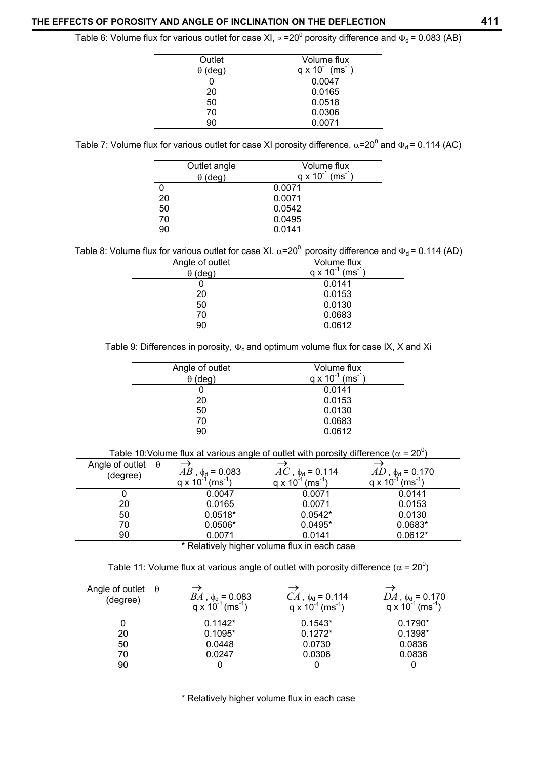Table 6: Volume flux for various outlet for case XI,  $\propto$ =20<sup>0</sup> porosity difference and  $\Phi_d$ = 0.083 (AB)

| Outlet     | Volume flux                            |
|------------|----------------------------------------|
| (deq)<br>θ | $q \times 10^{-1}$ (ms <sup>-1</sup> ) |
|            | 0.0047                                 |
| 20         | 0.0165                                 |
| 50         | 0.0518                                 |
| 70         | 0.0306                                 |
| 90         | 0.0071                                 |

Table 7: Volume flux for various outlet for case XI porosity difference.  $\alpha$ =20<sup>0</sup> and  $\Phi_d$ = 0.114 (AC)

|    | Outlet angle<br>$\theta$ (deg) | Volume flux<br>q x $10^{-1}$ (ms <sup>-1</sup> ) |
|----|--------------------------------|--------------------------------------------------|
|    |                                | 0.0071                                           |
| 20 |                                | 0.0071                                           |
| 50 |                                | 0.0542                                           |
| 70 |                                | 0.0495                                           |
| 90 |                                | 0.0141                                           |

Table 8: Volume flux for various outlet for case XI.  $\alpha$ =20<sup>0,</sup> porosity difference and  $\Phi_d$  = 0.114 (AD)

| Angle of outlet | Volume flux                            |
|-----------------|----------------------------------------|
| $\theta$ (deg)  | $q \times 10^{-1}$ (ms <sup>-1</sup> ) |
|                 | 0.0141                                 |
| 20              | 0.0153                                 |
| 50              | 0.0130                                 |
| 70              | 0.0683                                 |
| 90              | 0.0612                                 |

Table 9: Differences in porosity,  $\Phi_d$  and optimum volume flux for case IX, X and Xi

| Angle of outlet | Volume flux                            |
|-----------------|----------------------------------------|
| $\theta$ (deg)  | $q \times 10^{-1}$ (ms <sup>-1</sup> ) |
|                 | 0.0141                                 |
| 20              | 0.0153                                 |
| 50              | 0.0130                                 |
| 70              | 0.0683                                 |
| 90              | 0.0612                                 |
|                 |                                        |

|                          |  |  |  | Table 10:Volume flux at various angle of outlet with porosity difference ( $\alpha$ = 20 <sup>0</sup> ) |  |
|--------------------------|--|--|--|---------------------------------------------------------------------------------------------------------|--|
| Angle of outlet $\theta$ |  |  |  |                                                                                                         |  |

| Angle of outlet<br>$\theta$<br>(degree) | $AB$ , $\phi$ <sub>d</sub> = 0.083<br>$(ms^{-1})$<br>$q \times 10^{-1}$ | $AC$ , $\phi_d$ = 0.114<br>$(ms^{-1})$<br>$q \times 10^{-1}$ | $AD$ , $\phi_d$ = 0.170<br>$(ms^{-1})$<br>$q \times 10^{-1}$ |
|-----------------------------------------|-------------------------------------------------------------------------|--------------------------------------------------------------|--------------------------------------------------------------|
|                                         | 0.0047                                                                  | 0.0071                                                       | 0.0141                                                       |
| 20                                      | 0.0165                                                                  | 0.0071                                                       | 0.0153                                                       |
| 50                                      | $0.0518*$                                                               | $0.0542*$                                                    | 0.0130                                                       |
| 70                                      | $0.0506*$                                                               | $0.0495*$                                                    | $0.0683*$                                                    |
| 90                                      | 0.0071                                                                  | 0.0141                                                       | $0.0612*$                                                    |

\* Relatively higher volume flux in each case

Table 11: Volume flux at various angle of outlet with porosity difference ( $\alpha$  = 20<sup>0</sup>)

| Angle of outlet $\theta$<br>(degree) | $BA$ , $\phi_d = 0.083$<br>$q \times 10^{-1}$ (ms <sup>-1</sup> ) | $CA$ , $\phi_d = 0.114$<br>$q \times 10^{-1}$ (ms <sup>-1</sup> ) | $DA$ , $\phi_d$ = 0.170<br>$q \times 10^{-1}$ (ms <sup>-1</sup> ) |
|--------------------------------------|-------------------------------------------------------------------|-------------------------------------------------------------------|-------------------------------------------------------------------|
|                                      | $0.1142*$                                                         | $0.1543*$                                                         | $0.1790*$                                                         |
| 20                                   | $0.1095*$                                                         | $0.1272*$                                                         | $0.1398*$                                                         |
| 50                                   | 0.0448                                                            | 0.0730                                                            | 0.0836                                                            |
| 70                                   | 0.0247                                                            | 0.0306                                                            | 0.0836                                                            |
| 90                                   |                                                                   |                                                                   |                                                                   |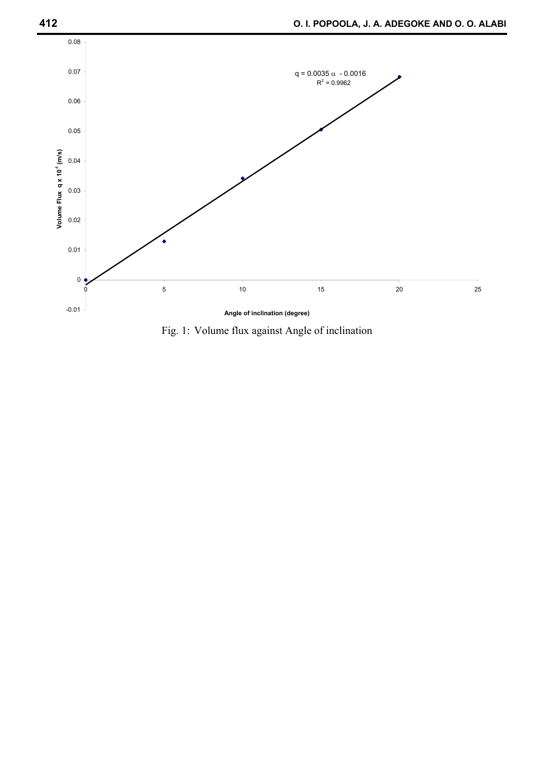

Fig. 1: Volume flux against Angle of inclination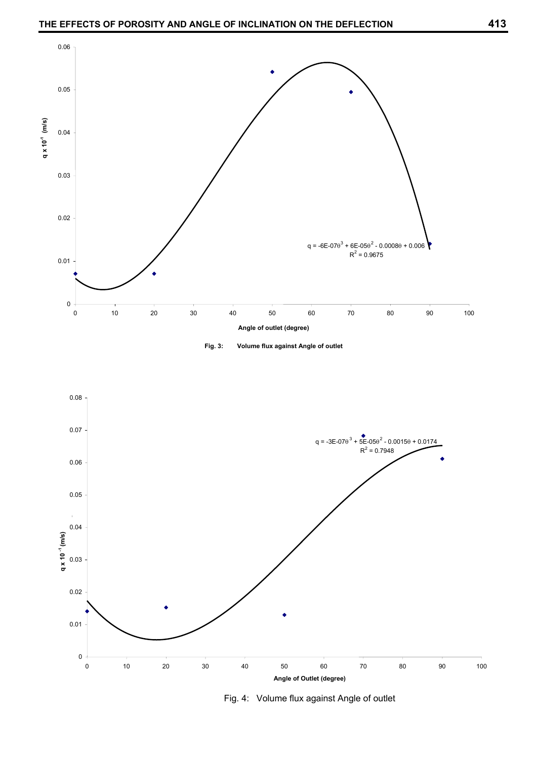





Fig. 4: Volume flux against Angle of outlet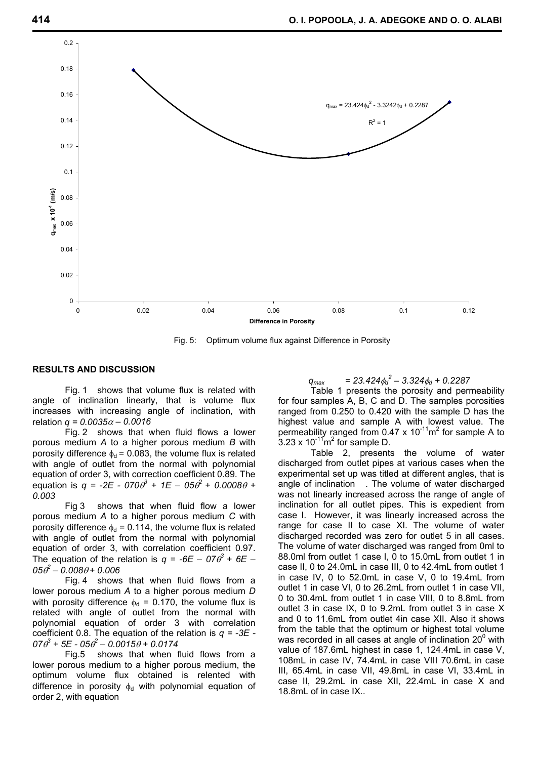

Fig. 5: Optimum volume flux against Difference in Porosity

#### **RESULTS AND DISCUSSION**

Fig. 1 shows that volume flux is related with angle of inclination linearly, that is volume flux increases with increasing angle of inclination, with relation *q = 0.0035*α *– 0.0016* 

Fig. 2 shows that when fluid flows a lower porous medium *A* to a higher porous medium *B* with porosity difference  $\phi_d$  = 0.083, the volume flux is related with angle of outlet from the normal with polynomial equation of order 3, with correction coefficient 0.89. The equation is  $q = -2E - 070\theta^3 + 1E - 05\theta^2 + 0.0008\theta + 1$ *0.003*

Fig 3 shows that when fluid flow a lower porous medium *A* to a higher porous medium *C* with porosity difference  $\phi_d$  = 0.114, the volume flux is related with angle of outlet from the normal with polynomial equation of order 3, with correlation coefficient 0.97. The equation of the relation is  $q = -6E - 07\theta^3 + 6E - 1$  $0.05 \hat{\theta}^2 - 0.008 \hat{\theta} + 0.006$ 

Fig. 4 shows that when fluid flows from a lower porous medium *A* to a higher porous medium *D* with porosity difference  $\phi_d = 0.170$ , the volume flux is related with angle of outlet from the normal with polynomial equation of order 3 with correlation coefficient 0.8. The equation of the relation is *q = -3E -*   $07\theta^3 + 5E - 05\theta^2 - 0.0015\theta + 0.0174$ 

Fig.5 shows that when fluid flows from a lower porous medium to a higher porous medium, the optimum volume flux obtained is relented with difference in porosity  $\phi_d$  with polynomial equation of order 2, with equation

# $q_{max}$  = 23.424 $\phi_d^2$  – 3.324 $\phi_d$  + 0.2287

 Table 1 presents the porosity and permeability for four samples A, B, C and D. The samples porosities ranged from 0.250 to 0.420 with the sample D has the highest value and sample A with lowest value. The permeability ranged from 0.47 x  $10^{-11}$ m<sup>2</sup> for sample A to  $3.23 \times 10^{-11}$ m<sup>2</sup> for sample D.

Table 2, presents the volume of water discharged from outlet pipes at various cases when the experimental set up was titled at different angles, that is angle of inclination . The volume of water discharged was not linearly increased across the range of angle of inclination for all outlet pipes. This is expedient from case I. However, it was linearly increased across the range for case II to case XI. The volume of water discharged recorded was zero for outlet 5 in all cases. The volume of water discharged was ranged from 0ml to 88.0ml from outlet 1 case I, 0 to 15.0mL from outlet 1 in case II, 0 to 24.0mL in case III, 0 to 42.4mL from outlet 1 in case IV, 0 to 52.0mL in case V, 0 to 19.4mL from outlet 1 in case VI, 0 to 26.2mL from outlet 1 in case VII, 0 to 30.4mL from outlet 1 in case VIII, 0 to 8.8mL from outlet 3 in case IX, 0 to 9.2mL from outlet 3 in case X and 0 to 11.6mL from outlet 4in case XII. Also it shows from the table that the optimum or highest total volume was recorded in all cases at angle of inclination  $20^{\circ}$  with value of 187.6mL highest in case 1, 124.4mL in case V, 108mL in case IV, 74.4mL in case VIII 70.6mL in case III, 65.4mL in case VII, 49.8mL in case VI, 33.4mL in case II, 29.2mL in case XII, 22.4mL in case X and 18.8mL of in case IX..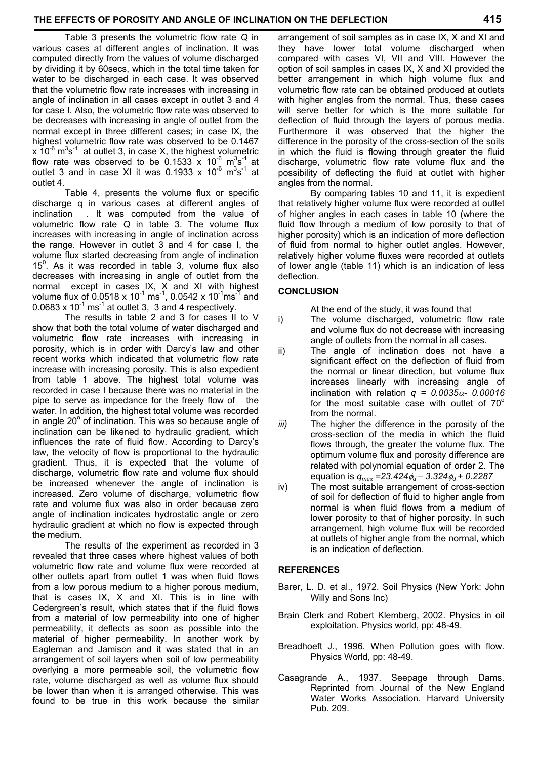Table 3 presents the volumetric flow rate *Q* in various cases at different angles of inclination. It was computed directly from the values of volume discharged by dividing it by 60secs, which in the total time taken for water to be discharged in each case. It was observed that the volumetric flow rate increases with increasing in angle of inclination in all cases except in outlet 3 and 4 for case I. Also, the volumetric flow rate was observed to be decreases with increasing in angle of outlet from the normal except in three different cases; in case IX, the highest volumetric flow rate was observed to be 0.1467  $\overline{x}$  10<sup>-6</sup> m<sup>3</sup>s<sup>-1</sup> at outlet 3, in case X, the highest volumetric flow rate was observed to be  $0.1533 \times 10^{-6}$  m<sup>3</sup>s<sup>-1</sup> at outlet 3 and in case XI it was 0.1933 x  $10^{-6}$  m<sup>3</sup>s<sup>-1</sup> at outlet 4.

Table 4, presents the volume flux or specific discharge q in various cases at different angles of inclination . It was computed from the value of volumetric flow rate *Q* in table 3. The volume flux increases with increasing in angle of inclination across the range. However in outlet 3 and 4 for case I, the volume flux started decreasing from angle of inclination 15<sup>0</sup>. As it was recorded in table 3, volume flux also decreases with increasing in angle of outlet from the normal except in cases IX, X and XI with highest volume flux of 0.0518 x  $10^{-1}$  ms<sup>-1</sup>, 0.0542 x  $10^{-1}$ ms<sup>-1</sup> and  $0.0683 \times 10^{-1}$  ms<sup>-1</sup> at outlet 3, 3 and 4 respectively.

The results in table 2 and 3 for cases II to V show that both the total volume of water discharged and volumetric flow rate increases with increasing in porosity, which is in order with Darcy's law and other recent works which indicated that volumetric flow rate increase with increasing porosity. This is also expedient from table 1 above. The highest total volume was recorded in case I because there was no material in the pipe to serve as impedance for the freely flow of the water. In addition, the highest total volume was recorded in angle  $20^{\circ}$  of inclination. This was so because angle of inclination can be likened to hydraulic gradient, which influences the rate of fluid flow. According to Darcy's law, the velocity of flow is proportional to the hydraulic gradient. Thus, it is expected that the volume of discharge, volumetric flow rate and volume flux should be increased whenever the angle of inclination is increased. Zero volume of discharge, volumetric flow rate and volume flux was also in order because zero angle of inclination indicates hydrostatic angle or zero hydraulic gradient at which no flow is expected through the medium.

The results of the experiment as recorded in 3 revealed that three cases where highest values of both volumetric flow rate and volume flux were recorded at other outlets apart from outlet 1 was when fluid flows from a low porous medium to a higher porous medium, that is cases IX, X and XI. This is in line with Cedergreen's result, which states that if the fluid flows from a material of low permeability into one of higher permeability, it deflects as soon as possible into the material of higher permeability. In another work by Eagleman and Jamison and it was stated that in an arrangement of soil layers when soil of low permeability overlying a more permeable soil, the volumetric flow rate, volume discharged as well as volume flux should be lower than when it is arranged otherwise. This was found to be true in this work because the similar

arrangement of soil samples as in case IX, X and XI and they have lower total volume discharged when compared with cases VI, VII and VIII. However the option of soil samples in cases IX, X and XI provided the better arrangement in which high volume flux and volumetric flow rate can be obtained produced at outlets with higher angles from the normal. Thus, these cases will serve better for which is the more suitable for deflection of fluid through the layers of porous media. Furthermore it was observed that the higher the difference in the porosity of the cross-section of the soils in which the fluid is flowing through greater the fluid discharge, volumetric flow rate volume flux and the possibility of deflecting the fluid at outlet with higher angles from the normal.

By comparing tables 10 and 11, it is expedient that relatively higher volume flux were recorded at outlet of higher angles in each cases in table 10 (where the fluid flow through a medium of low porosity to that of higher porosity) which is an indication of more deflection of fluid from normal to higher outlet angles. However, relatively higher volume fluxes were recorded at outlets of lower angle (table 11) which is an indication of less deflection.

# **CONCLUSION**

At the end of the study, it was found that

- i) The volume discharged, volumetric flow rate and volume flux do not decrease with increasing angle of outlets from the normal in all cases.
- ii) The angle of inclination does not have a significant effect on the deflection of fluid from the normal or linear direction, but volume flux increases linearly with increasing angle of inclination with relation  $q = 0.0035\alpha - 0.00016$ for the most suitable case with outlet of  $70^{\circ}$ from the normal.
- *iii*) The higher the difference in the porosity of the cross-section of the media in which the fluid flows through, the greater the volume flux. The optimum volume flux and porosity difference are related with polynomial equation of order 2. The equation is  $q_{max} = 23.424\phi_d - 3.324\phi_d + 0.2287$
- iv) The most suitable arrangement of cross-section of soil for deflection of fluid to higher angle from normal is when fluid flows from a medium of lower porosity to that of higher porosity. In such arrangement, high volume flux will be recorded at outlets of higher angle from the normal, which is an indication of deflection.

# **REFERENCES**

- Barer, L. D. et al., 1972. Soil Physics (New York: John Willy and Sons Inc)
- Brain Clerk and Robert Klemberg, 2002. Physics in oil exploitation. Physics world, pp: 48-49.
- Breadhoeft J., 1996. When Pollution goes with flow. Physics World, pp: 48-49.
- Casagrande A., 1937. Seepage through Dams. Reprinted from Journal of the New England Water Works Association. Harvard University Pub. 209.